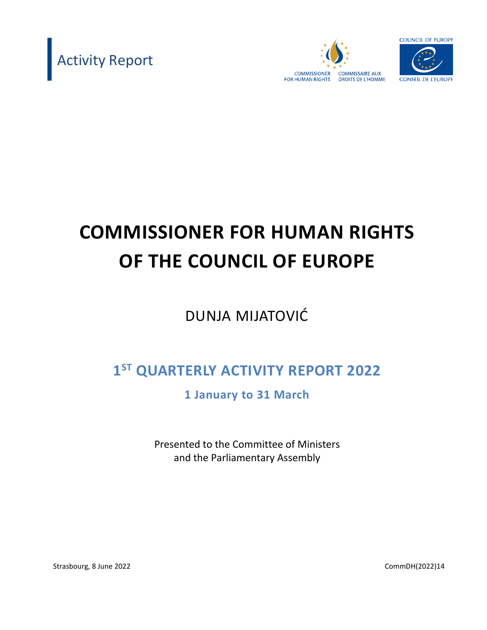





# **COMMISSIONER FOR HUMAN RIGHTS OF THE COUNCIL OF EUROPE**

# DUNJA MIJATOVIĆ

# **1 ST QUARTERLY ACTIVITY REPORT 2022**

**1 January to 31 March**

Presented to the Committee of Ministers and the Parliamentary Assembly

Strasbourg, 8 June 2022 2008 2022 2012 2023 2024 2022 2024 2022 2024 2022 2024 2022 2024 2022 2024 2022 2022 20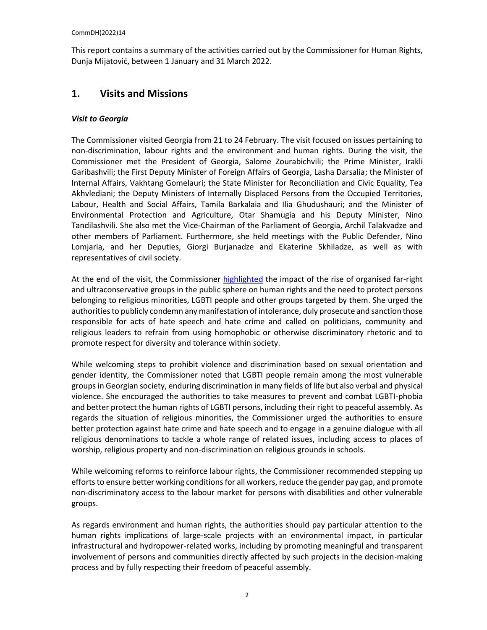This report contains a summary of the activities carried out by the Commissioner for Human Rights, Dunja Mijatović, between 1 January and 31 March 2022.

### **1. Visits and Missions**

#### *Visit to Georgia*

The Commissioner visited Georgia from 21 to 24 February. The visit focused on issues pertaining to non-discrimination, labour rights and the environment and human rights. During the visit, the Commissioner met the President of Georgia, Salome Zourabichvili; the Prime Minister, Irakli Garibashvili; the First Deputy Minister of Foreign Affairs of Georgia, Lasha Darsalia; the Minister of Internal Affairs, Vakhtang Gomelauri; the State Minister for Reconciliation and Civic Equality, Tea Akhvlediani; the Deputy Ministers of Internally Displaced Persons from the Occupied Territories, Labour, Health and Social Affairs, Tamila Barkalaia and Ilia Ghudushauri; and the Minister of Environmental Protection and Agriculture, Otar Shamugia and his Deputy Minister, Nino Tandilashvili. She also met the Vice-Chairman of the Parliament of Georgia, Archil Talakvadze and other members of Parliament. Furthermore, she held meetings with the Public Defender, Nino Lomjaria, and her Deputies, Giorgi Burjanadze and Ekaterine Skhiladze, as well as with representatives of civil society.

At the end of the visit, the Commissioner [highlighted](https://www.coe.int/en/web/commissioner/-/georgia-should-step-up-the-fight-against-discrimination-and-better-ensure-labour-rights-and-the-human-right-to-a-healthy-environment) the impact of the rise of organised far-right and ultraconservative groups in the public sphere on human rights and the need to protect persons belonging to religious minorities, LGBTI people and other groups targeted by them. She urged the authorities to publicly condemn any manifestation of intolerance, duly prosecute and sanction those responsible for acts of hate speech and hate crime and called on politicians, community and religious leaders to refrain from using homophobic or otherwise discriminatory rhetoric and to promote respect for diversity and tolerance within society.

While welcoming steps to prohibit violence and discrimination based on sexual orientation and gender identity, the Commissioner noted that LGBTI people remain among the most vulnerable groups in Georgian society, enduring discrimination in many fields of life but also verbal and physical violence. She encouraged the authorities to take measures to prevent and combat LGBTI-phobia and better protect the human rights of LGBTI persons, including their right to peaceful assembly. As regards the situation of religious minorities, the Commissioner urged the authorities to ensure better protection against hate crime and hate speech and to engage in a genuine dialogue with all religious denominations to tackle a whole range of related issues, including access to places of worship, religious property and non-discrimination on religious grounds in schools.

While welcoming reforms to reinforce labour rights, the Commissioner recommended stepping up efforts to ensure better working conditions for all workers, reduce the gender pay gap, and promote non-discriminatory access to the labour market for persons with disabilities and other vulnerable groups.

As regards environment and human rights, the authorities should pay particular attention to the human rights implications of large-scale projects with an environmental impact, in particular infrastructural and hydropower-related works, including by promoting meaningful and transparent involvement of persons and communities directly affected by such projects in the decision-making process and by fully respecting their freedom of peaceful assembly.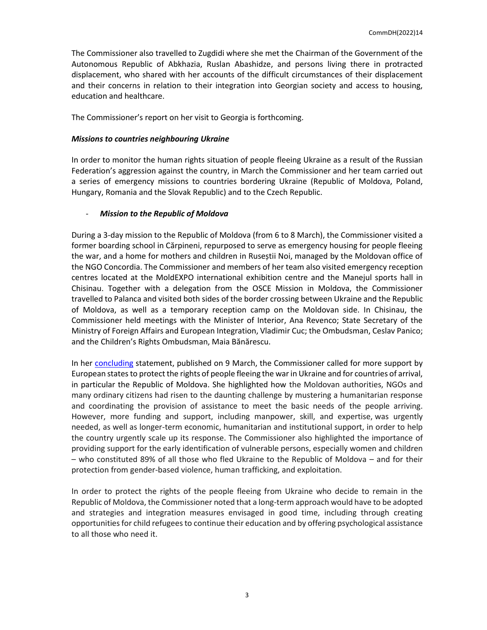The Commissioner also travelled to Zugdidi where she met the Chairman of the Government of the Autonomous Republic of Abkhazia, Ruslan Abashidze, and persons living there in protracted displacement, who shared with her accounts of the difficult circumstances of their displacement and their concerns in relation to their integration into Georgian society and access to housing, education and healthcare.

The Commissioner's report on her visit to Georgia is forthcoming.

#### *Missions to countries neighbouring Ukraine*

In order to monitor the human rights situation of people fleeing Ukraine as a result of the Russian Federation's aggression against the country, in March the Commissioner and her team carried out a series of emergency missions to countries bordering Ukraine (Republic of Moldova, Poland, Hungary, Romania and the Slovak Republic) and to the Czech Republic.

#### - *Mission to the Republic of Moldova*

During a 3-day mission to the Republic of Moldova (from 6 to 8 March), the Commissioner visited a former boarding school in Cărpineni, repurposed to serve as emergency housing for people fleeing the war, and a home for mothers and children in Ruseștii Noi, managed by the Moldovan office of the NGO Concordia. The Commissioner and members of her team also visited emergency reception centres located at the MoldEXPO international exhibition centre and the Manejul sports hall in Chisinau. Together with a delegation from the OSCE Mission in Moldova, the Commissioner travelled to Palanca and visited both sides of the border crossing between Ukraine and the Republic of Moldova, as well as a temporary reception camp on the Moldovan side. In Chisinau, the Commissioner held meetings with the Minister of Interior, Ana Revenco; State Secretary of the Ministry of Foreign Affairs and European Integration, Vladimir Cuc; the Ombudsman, Ceslav Panico; and the Children's Rights Ombudsman, Maia Bănărescu.

In her [concluding](https://www.coe.int/en/web/commissioner/-/more-support-urgently-needed-to-assist-people-fleeing-the-war-in-ukraine-and-countries-of-arrival-in-particular-the-republic-of-moldova) statement, published on 9 March, the Commissioner called for more support by European states to protect the rights of people fleeing the war in Ukraine and for countries of arrival, in particular the Republic of Moldova. She highlighted how the Moldovan authorities, NGOs and many ordinary citizens had risen to the daunting challenge by mustering a humanitarian response and coordinating the provision of assistance to meet the basic needs of the people arriving. However, more funding and support, including manpower, skill, and expertise, was urgently needed, as well as longer-term economic, humanitarian and institutional support, in order to help the country urgently scale up its response. The Commissioner also highlighted the importance of providing support for the early identification of vulnerable persons, especially women and children – who constituted 89% of all those who fled Ukraine to the Republic of Moldova – and for their protection from gender-based violence, human trafficking, and exploitation.

In order to protect the rights of the people fleeing from Ukraine who decide to remain in the Republic of Moldova, the Commissioner noted that a long-term approach would have to be adopted and strategies and integration measures envisaged in good time, including through creating opportunities for child refugees to continue their education and by offering psychological assistance to all those who need it.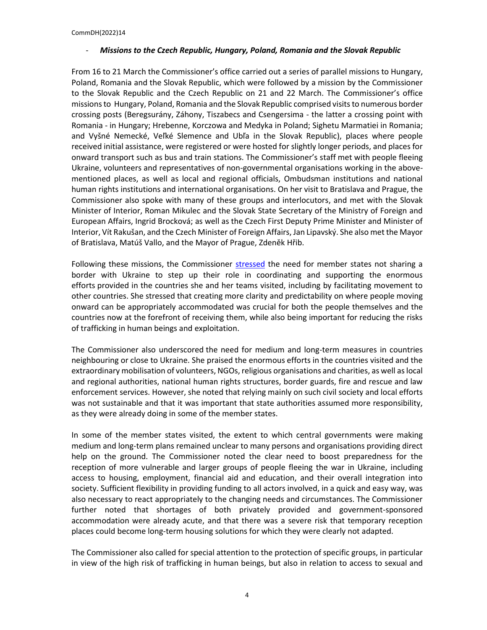#### - *Missions to the Czech Republic, Hungary, Poland, Romania and the Slovak Republic*

From 16 to 21 March the Commissioner's office carried out a series of parallel missions to Hungary, Poland, Romania and the Slovak Republic, which were followed by a mission by the Commissioner to the Slovak Republic and the Czech Republic on 21 and 22 March. The Commissioner's office missions to Hungary, Poland, Romania and the Slovak Republic comprised visits to numerous border crossing posts (Beregsurány, Záhony, Tiszabecs and Csengersima - the latter a crossing point with Romania - in Hungary; Hrebenne, Korczowa and Medyka in Poland; Sighetu Marmatiei in Romania; and Vyšné Nemecké, Veľké Slemence and Ubľa in the Slovak Republic), places where people received initial assistance, were registered or were hosted for slightly longer periods, and places for onward transport such as bus and train stations. The Commissioner's staff met with people fleeing Ukraine, volunteers and representatives of non-governmental organisations working in the abovementioned places, as well as local and regional officials, Ombudsman institutions and national human rights institutions and international organisations. On her visit to Bratislava and Prague, the Commissioner also spoke with many of these groups and interlocutors, and met with the Slovak Minister of Interior, Roman Mikulec and the Slovak State Secretary of the Ministry of Foreign and European Affairs, Ingrid Brocková; as well as the Czech First Deputy Prime Minister and Minister of Interior, Vít Rakušan, and the Czech Minister of Foreign Affairs, Jan Lipavský. She also met the Mayor of Bratislava, Matúš Vallo, and the Mayor of Prague, Zdeněk Hřib.

Following these missions, the Commissioner [stressed](https://www.coe.int/en/web/commissioner/-/commissioner-urges-more-coordinated-efforts-by-all-member-states-to-meet-the-humanitarian-needs-and-protect-the-human-rights-of-people-fleeing-the-war) the need for member states not sharing a border with Ukraine to step up their role in coordinating and supporting the enormous efforts provided in the countries she and her teams visited, including by facilitating movement to other countries. She stressed that creating more clarity and predictability on where people moving onward can be appropriately accommodated was crucial for both the people themselves and the countries now at the forefront of receiving them, while also being important for reducing the risks of trafficking in human beings and exploitation.

The Commissioner also underscored the need for medium and long-term measures in countries neighbouring or close to Ukraine. She praised the enormous efforts in the countries visited and the extraordinary mobilisation of volunteers, NGOs, religious organisations and charities, as well as local and regional authorities, national human rights structures, border guards, fire and rescue and law enforcement services. However, she noted that relying mainly on such civil society and local efforts was not sustainable and that it was important that state authorities assumed more responsibility, as they were already doing in some of the member states.

In some of the member states visited, the extent to which central governments were making medium and long-term plans remained unclear to many persons and organisations providing direct help on the ground. The Commissioner noted the clear need to boost preparedness for the reception of more vulnerable and larger groups of people fleeing the war in Ukraine, including access to housing, employment, financial aid and education, and their overall integration into society. Sufficient flexibility in providing funding to all actors involved, in a quick and easy way, was also necessary to react appropriately to the changing needs and circumstances. The Commissioner further noted that shortages of both privately provided and government-sponsored accommodation were already acute, and that there was a severe risk that temporary reception places could become long-term housing solutions for which they were clearly not adapted.

The Commissioner also called for special attention to the protection of specific groups, in particular in view of the high risk of trafficking in human beings, but also in relation to access to sexual and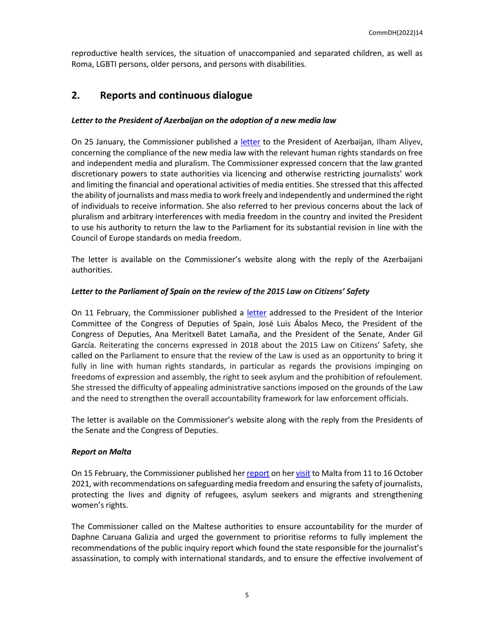reproductive health services, the situation of unaccompanied and separated children, as well as Roma, LGBTI persons, older persons, and persons with disabilities.

# **2. Reports and continuous dialogue**

#### *Letter to the President of Azerbaijan on the adoption of a new media law*

On 25 January, the Commissioner published a [letter](https://www.coe.int/en/web/commissioner/-/azerbaijan-new-media-law-raises-serious-human-rights-concerns-and-should-be-changed) to the President of Azerbaijan, Ilham Aliyev, concerning the compliance of the new media law with the relevant human rights standards on free and independent media and pluralism. The Commissioner expressed concern that the law granted discretionary powers to state authorities via licencing and otherwise restricting journalists' work and limiting the financial and operational activities of media entities. She stressed that this affected the ability of journalists and mass media to work freely and independently and undermined the right of individuals to receive information. She also referred to her previous concerns about the lack of pluralism and arbitrary interferences with media freedom in the country and invited the President to use his authority to return the law to the Parliament for its substantial revision in line with the Council of Europe standards on media freedom.

The letter is available on the Commissioner's website along with the reply of the Azerbaijani authorities.

#### *Letter to the Parliament of Spain on the review of the 2015 Law on Citizens' Safety*

On 11 February, the Commissioner published a [letter](https://www.coe.int/en/web/commissioner/-/spain-the-review-of-the-2015-law-on-citizens-safety-should-result-in-better-protecting-human-rights) addressed to the President of the Interior Committee of the Congress of Deputies of Spain, José Luis Ábalos Meco, the President of the Congress of Deputies, Ana Meritxell Batet Lamaña, and the President of the Senate, Ander Gil García. Reiterating the concerns expressed in 2018 about the 2015 Law on Citizens' Safety, she called on the Parliament to ensure that the review of the Law is used as an opportunity to bring it fully in line with human rights standards, in particular as regards the provisions impinging on freedoms of expression and assembly, the right to seek asylum and the prohibition of refoulement. She stressed the difficulty of appealing administrative sanctions imposed on the grounds of the Law and the need to strengthen the overall accountability framework for law enforcement officials.

The letter is available on the Commissioner's website along with the reply from the Presidents of the Senate and the Congress of Deputies.

#### *Report on Malta*

On 15 February, the Commissioner published he[r report](https://www.coe.int/en/web/commissioner/-/malta-high-time-for-justice-for-daphne-caruana-galizia-and-for-reforms-to-safeguard-media-freedom-and-better-protect-the-rights-of-migrants-and-women) on he[r visit](https://www.coe.int/en/web/commissioner/-/reforms-needed-to-better-protect-journalists-safety-and-the-rights-of-migrants-and-women-in-malta) to Malta from 11 to 16 October 2021, with recommendations on safeguarding media freedom and ensuring the safety of journalists, protecting the lives and dignity of refugees, asylum seekers and migrants and strengthening women's rights.

The Commissioner called on the Maltese authorities to ensure accountability for the murder of Daphne Caruana Galizia and urged the government to prioritise reforms to fully implement the recommendations of the public inquiry report which found the state responsible for the journalist's assassination, to comply with international standards, and to ensure the effective involvement of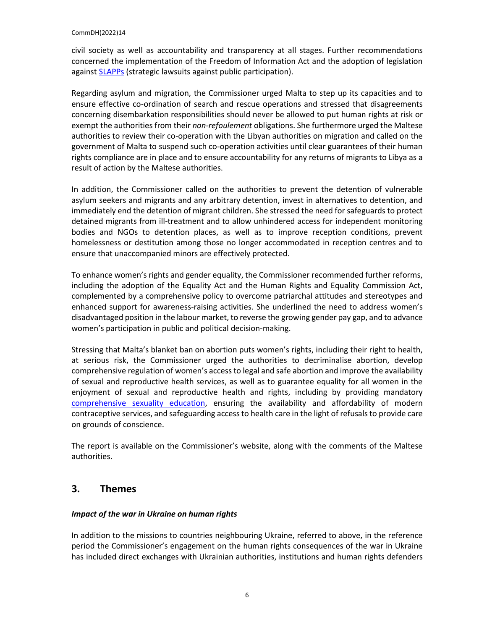civil society as well as accountability and transparency at all stages. Further recommendations concerned the implementation of the Freedom of Information Act and the adoption of legislation against **SLAPPs** (strategic lawsuits against public participation).

Regarding asylum and migration, the Commissioner urged Malta to step up its capacities and to ensure effective co-ordination of search and rescue operations and stressed that disagreements concerning disembarkation responsibilities should never be allowed to put human rights at risk or exempt the authorities from their *non-refoulement* obligations. She furthermore urged the Maltese authorities to review their co-operation with the Libyan authorities on migration and called on the government of Malta to suspend such co-operation activities until clear guarantees of their human rights compliance are in place and to ensure accountability for any returns of migrants to Libya as a result of action by the Maltese authorities.

In addition, the Commissioner called on the authorities to prevent the detention of vulnerable asylum seekers and migrants and any arbitrary detention, invest in alternatives to detention, and immediately end the detention of migrant children. She stressed the need for safeguards to protect detained migrants from ill-treatment and to allow unhindered access for independent monitoring bodies and NGOs to detention places, as well as to improve reception conditions, prevent homelessness or destitution among those no longer accommodated in reception centres and to ensure that unaccompanied minors are effectively protected.

To enhance women's rights and gender equality, the Commissioner recommended further reforms, including the adoption of the Equality Act and the Human Rights and Equality Commission Act, complemented by a comprehensive policy to overcome patriarchal attitudes and stereotypes and enhanced support for awareness-raising activities. She underlined the need to address women's disadvantaged position in the labour market, to reverse the growing gender pay gap, and to advance women's participation in public and political decision-making.

Stressing that Malta's blanket ban on abortion puts women's rights, including their right to health, at serious risk, the Commissioner urged the authorities to decriminalise abortion, develop comprehensive regulation of women's access to legal and safe abortion and improve the availability of sexual and reproductive health services, as well as to guarantee equality for all women in the enjoyment of sexual and reproductive health and rights, including by providing mandatory [comprehensive sexuality education,](https://www.coe.int/en/web/commissioner/blog-2020/-/asset_publisher/aa3hyyf8wKBn/content/comprehensive-sexuality-education-protects-children-and-helps-build-a-safer-inclusive-society?inheritRedirect=false&redirect=https%3A%2F%2Fwww.coe.int%2Fen%2Fweb%2Fcommissioner%2Fblog-2020%3Fp_p_id%3D101_INSTANCE_aa3hyyf8wKBn%26p_p_lifecycle%3D0%26p_p_state%3Dnormal%26p_p_mode%3Dview%26p_p_col_id%3Dcolumn-1%26p_p_col_count%3D1) ensuring the availability and affordability of modern contraceptive services, and safeguarding access to health care in the light of refusals to provide care on grounds of conscience.

The report is available on the Commissioner's website, along with the comments of the Maltese authorities.

# **3. Themes**

#### *Impact of the war in Ukraine on human rights*

In addition to the missions to countries neighbouring Ukraine, referred to above, in the reference period the Commissioner's engagement on the human rights consequences of the war in Ukraine has included direct exchanges with Ukrainian authorities, institutions and human rights defenders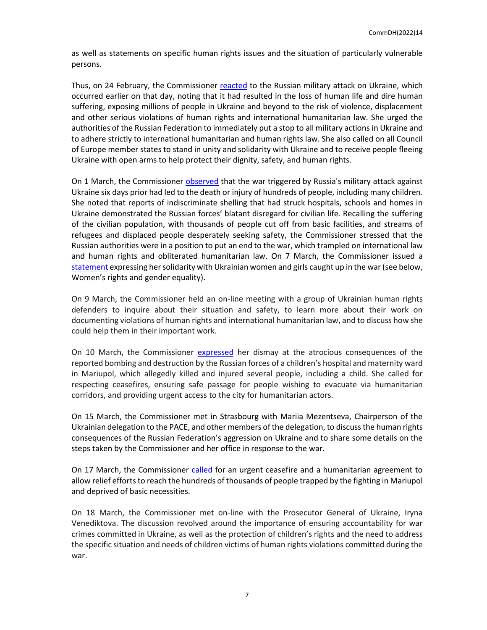as well as statements on specific human rights issues and the situation of particularly vulnerable persons.

Thus, on 24 February, the Commissioner [reacted](https://www.coe.int/en/web/commissioner/-/commissioner-for-human-rights-statement-on-the-situation-in-ukraine) to the Russian military attack on Ukraine, which occurred earlier on that day, noting that it had resulted in the loss of human life and dire human suffering, exposing millions of people in Ukraine and beyond to the risk of violence, displacement and other serious violations of human rights and international humanitarian law. She urged the authorities of the Russian Federation to immediately put a stop to all military actions in Ukraine and to adhere strictly to international humanitarian and human rights law. She also called on all Council of Europe member states to stand in unity and solidarity with Ukraine and to receive people fleeing Ukraine with open arms to help protect their dignity, safety, and human rights.

On 1 March, the Commissioner [observed](https://www.coe.int/en/web/commissioner/-/the-killing-and-suffering-of-people-in-ukraine-has-to-stop-now) that the war triggered by Russia's military attack against Ukraine six days prior had led to the death or injury of hundreds of people, including many children. She noted that reports of indiscriminate shelling that had struck hospitals, schools and homes in Ukraine demonstrated the Russian forces' blatant disregard for civilian life. Recalling the suffering of the civilian population, with thousands of people cut off from basic facilities, and streams of refugees and displaced people desperately seeking safety, the Commissioner stressed that the Russian authorities were in a position to put an end to the war, which trampled on international law and human rights and obliterated humanitarian law. On 7 March, the Commissioner issued a [statement](https://www.coe.int/en/web/commissioner/-/on-international-women-s-day-let-us-stand-with-ukrainian-women-and-girls) expressing her solidarity with Ukrainian women and girls caught up in the war (see below, Women's rights and gender equality).

On 9 March, the Commissioner held an on-line meeting with a group of Ukrainian human rights defenders to inquire about their situation and safety, to learn more about their work on documenting violations of human rights and international humanitarian law, and to discuss how she could help them in their important work.

On 10 March, the Commissioner [expressed](https://twitter.com/CommissionerHR/status/1501922478309842953?s=20&t=05AWhIdl9dZjFqlUmLlx2w) her dismay at the atrocious consequences of the reported bombing and destruction by the Russian forces of a children's hospital and maternity ward in Mariupol, which allegedly killed and injured several people, including a child. She called for respecting ceasefires, ensuring safe passage for people wishing to evacuate via humanitarian corridors, and providing urgent access to the city for humanitarian actors.

On 15 March, the Commissioner met in Strasbourg with Mariia Mezentseva, Chairperson of the Ukrainian delegation to the PACE, and other members of the delegation, to discuss the human rights consequences of the Russian Federation's aggression on Ukraine and to share some details on the steps taken by the Commissioner and her office in response to the war.

On 17 March, the Commissioner [called](https://twitter.com/CommissionerHR/status/1504463916591562753) for an urgent ceasefire and a humanitarian agreement to allow relief efforts to reach the hundreds of thousands of people trapped by the fighting in Mariupol and deprived of basic necessities.

On 18 March, the Commissioner met on-line with the Prosecutor General of Ukraine, Iryna Venediktova. The discussion revolved around the importance of ensuring accountability for war crimes committed in Ukraine, as well as the protection of children's rights and the need to address the specific situation and needs of children victims of human rights violations committed during the war.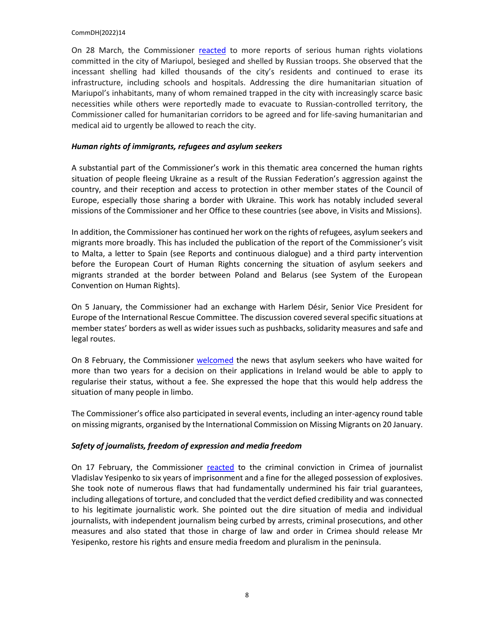On 28 March, the Commissioner [reacted](https://www.coe.int/en/web/commissioner/-/life-saving-humanitarian-and-medical-aid-should-immediately-be-allowed-to-reach-the-residents-of-mariupol) to more reports of serious human rights violations committed in the city of Mariupol, besieged and shelled by Russian troops. She observed that the incessant shelling had killed thousands of the city's residents and continued to erase its infrastructure, including schools and hospitals. Addressing the dire humanitarian situation of Mariupol's inhabitants, many of whom remained trapped in the city with increasingly scarce basic necessities while others were reportedly made to evacuate to Russian-controlled territory, the Commissioner called for humanitarian corridors to be agreed and for life-saving humanitarian and medical aid to urgently be allowed to reach the city.

#### *Human rights of immigrants, refugees and asylum seekers*

A substantial part of the Commissioner's work in this thematic area concerned the human rights situation of people fleeing Ukraine as a result of the Russian Federation's aggression against the country, and their reception and access to protection in other member states of the Council of Europe, especially those sharing a border with Ukraine. This work has notably included several missions of the Commissioner and her Office to these countries (see above, in Visits and Missions).

In addition, the Commissioner has continued her work on the rights of refugees, asylum seekers and migrants more broadly. This has included the publication of the report of the Commissioner's visit to Malta, a letter to Spain (see Reports and continuous dialogue) and a third party intervention before the European Court of Human Rights concerning the situation of asylum seekers and migrants stranded at the border between Poland and Belarus (see System of the European Convention on Human Rights).

On 5 January, the Commissioner had an exchange with Harlem Désir, Senior Vice President for Europe of the International Rescue Committee. The discussion covered several specific situations at member states' borders as well as wider issues such as pushbacks, solidarity measures and safe and legal routes.

On 8 February, the Commissioner [welcomed](https://twitter.com/CommissionerHR/status/1491104250927382528) the news that asylum seekers who have waited for more than two years for a decision on their applications in Ireland would be able to apply to regularise their status, without a fee. She expressed the hope that this would help address the situation of many people in limbo.

The Commissioner's office also participated in several events, including an inter-agency round table on missing migrants, organised by the International Commission on Missing Migrants on 20 January.

#### *Safety of journalists, freedom of expression and media freedom*

On 17 February, the Commissioner [reacted](https://www.coe.int/en/web/commissioner/-/criminal-conviction-of-independent-journalist-vladislav-yesipenko-further-undermines-media-freedom-in-crime) to the criminal conviction in Crimea of journalist Vladislav Yesipenko to six years of imprisonment and a fine for the alleged possession of explosives. She took note of numerous flaws that had fundamentally undermined his fair trial guarantees, including allegations of torture, and concluded that the verdict defied credibility and was connected to his legitimate journalistic work. She pointed out the dire situation of media and individual journalists, with independent journalism being curbed by arrests, criminal prosecutions, and other measures and also stated that those in charge of law and order in Crimea should release Mr Yesipenko, restore his rights and ensure media freedom and pluralism in the peninsula.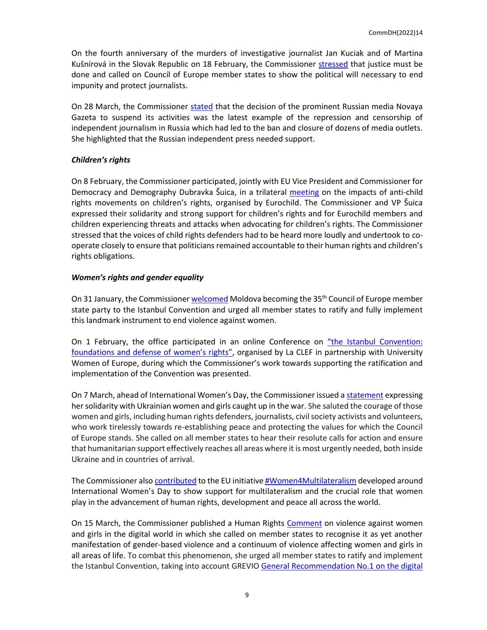On the fourth anniversary of the murders of investigative journalist Jan Kuciak and of Martina Kušnírová in the Slovak Republic on 18 February, the Commissioner [stressed](https://twitter.com/CommissionerHR/status/1494581197896306688?cxt=HHwWgMCyycnr6L0pAAAA) that justice must be done and called on Council of Europe member states to show the political will necessary to end impunity and protect journalists.

On 28 March, the Commissioner [stated](https://twitter.com/CommissionerHR/status/1508496186327674893?t=QISo-aegc3wgxo__kpa90g&s=03) that the decision of the prominent Russian media Novaya Gazeta to suspend its activities was the latest example of the repression and censorship of independent journalism in Russia which had led to the ban and closure of dozens of media outlets. She highlighted that the Russian independent press needed support.

#### *Children's rights*

On 8 February, the Commissioner participated, jointly with EU Vice President and Commissioner for Democracy and Demography Dubravka Šuica, in a trilateral [meeting](https://eurochild.org/news/statement-on-urgency-to-counter-anti-child-rights-movements-in-europe/) on the impacts of anti-child rights movements on children's rights, organised by Eurochild. The Commissioner and VP Šuica expressed their solidarity and strong support for children's rights and for Eurochild members and children experiencing threats and attacks when advocating for children's rights. The Commissioner stressed that the voices of child rights defenders had to be heard more loudly and undertook to cooperate closely to ensure that politicians remained accountable to their human rights and children's rights obligations.

#### *Women's rights and gender equality*

On 31 January, the Commissione[r welcomed](https://twitter.com/CommissionerHR/status/1488107970554646534?cxt=HHwWjMCyxZOU6aYpAAAA) Moldova becoming the  $35<sup>th</sup>$  Council of Europe member state party to the Istanbul Convention and urged all member states to ratify and fully implement this landmark instrument to end violence against women.

On 1 February, the office participated in an online Conference on ["the Istanbul Convention:](https://www.clef-femmes.fr/2022/01/19/inscriptions-ouvertes-mardi-de-la-clef-12-la-convention-distanbul-socle-et-rempart-des-droits-des-femmes/)  [foundations and defense of women's rights"](https://www.clef-femmes.fr/2022/01/19/inscriptions-ouvertes-mardi-de-la-clef-12-la-convention-distanbul-socle-et-rempart-des-droits-des-femmes/), organised by La CLEF in partnership with University Women of Europe, during which the Commissioner's work towards supporting the ratification and implementation of the Convention was presented.

On 7 March, ahead of International Women's Day, the Commissioner issued a [statement](https://www.coe.int/en/web/commissioner/-/on-international-women-s-day-let-us-stand-with-ukrainian-women-and-girls) expressing her solidarity with Ukrainian women and girls caught up in the war. She saluted the courage of those women and girls, including human rights defenders, journalists, civil society activists and volunteers, who work tirelessly towards re-establishing peace and protecting the values for which the Council of Europe stands. She called on all member states to hear their resolute calls for action and ensure that humanitarian support effectively reaches all areas where it is most urgently needed, both inside Ukraine and in countries of arrival.

The Commissioner als[o contributed](https://www.women4multilateralism.org/femme/dunja-mijatovic/) to the EU initiativ[e #Women4Multilateralism](https://www.women4multilateralism.org/) developed around International Women's Day to show support for multilateralism and the crucial role that women play in the advancement of human rights, development and peace all across the world.

On 15 March, the Commissioner published a Human Rights [Comment](https://www.coe.int/en/web/commissioner/-/no-space-for-violence-against-women-and-girls-in-the-digital-world) on violence against women and girls in the digital world in which she called on member states to recognise it as yet another manifestation of gender-based violence and a continuum of violence affecting women and girls in all areas of life. To combat this phenomenon, she urged all member states to ratify and implement the Istanbul Convention, taking into account GREVIO [General Recommendation No.1 on the digital](https://rm.coe.int/grevio-rec-no-on-digital-violence-against-women/1680a49147)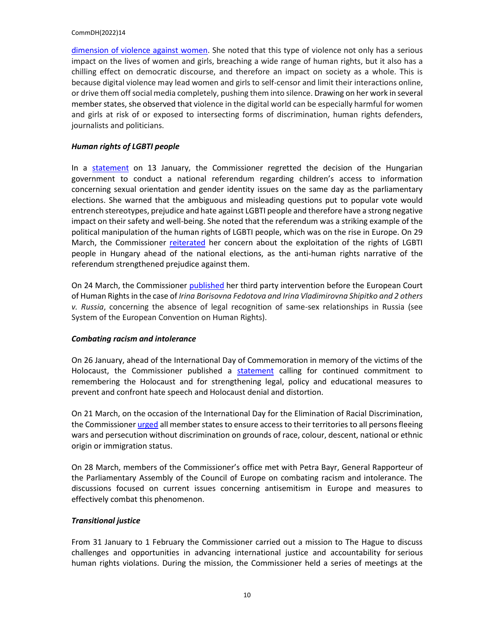[dimension of violence against women.](https://rm.coe.int/grevio-rec-no-on-digital-violence-against-women/1680a49147) She noted that this type of violence not only has a serious impact on the lives of women and girls, breaching a wide range of human rights, but it also has a chilling effect on democratic discourse, and therefore an impact on society as a whole. This is because digital violence may lead women and girls to self-censor and limit their interactions online, or drive them off social media completely, pushing them into silence. Drawing on her work in several member states, she observed that violence in the digital world can be especially harmful for women and girls at risk of or exposed to intersecting forms of discrimination, human rights defenders, journalists and politicians.

#### *Human rights of LGBTI people*

In a [statement](https://www.coe.int/en/web/commissioner/-/hungarian-government-must-stop-instrumentalising-and-weakening-the-human-rights-of-lgbti-people) on 13 January, the Commissioner regretted the decision of the Hungarian government to conduct a national referendum regarding children's access to information concerning sexual orientation and gender identity issues on the same day as the parliamentary elections. She warned that the ambiguous and misleading questions put to popular vote would entrench stereotypes, prejudice and hate against LGBTI people and therefore have a strong negative impact on their safety and well-being. She noted that the referendum was a striking example of the political manipulation of the human rights of LGBTI people, which was on the rise in Europe. On 29 March, the Commissioner [reiterated](https://twitter.com/CommissionerHR/status/1508832695949963266?t=8XKXN_qLMNWIGz-Fxs_dBw&s=03) her concern about the exploitation of the rights of LGBTI people in Hungary ahead of the national elections, as the anti-human rights narrative of the referendum strengthened prejudice against them.

On 24 March, the Commissioner [published](https://rm.coe.int/third-party-intervention-before-the-european-court-of-human-rights-in-/1680a5de6c) her third party intervention before the European Court of Human Rights in the case of *Irina Borisovna Fedotova and Irina Vladimirovna Shipitko and 2 others v. Russia*, concerning the absence of legal recognition of same-sex relationships in Russia (see System of the European Convention on Human Rights).

#### *Combating racism and intolerance*

On 26 January, ahead of the International Day of Commemoration in memory of the victims of the Holocaust, the Commissioner published a [statement](https://www.coe.int/en/web/commissioner/-/remembering-the-holocaust-by-rejecting-denial-and-distortion) calling for continued commitment to remembering the Holocaust and for strengthening legal, policy and educational measures to prevent and confront hate speech and Holocaust denial and distortion.

On 21 March, on the occasion of the International Day for the Elimination of Racial Discrimination, the Commissioner *urged* all member states to ensure access to their territories to all persons fleeing wars and persecution without discrimination on grounds of race, colour, descent, national or ethnic origin or immigration status.

On 28 March, members of the Commissioner's office met with Petra Bayr, General Rapporteur of the Parliamentary Assembly of the Council of Europe on combating racism and intolerance. The discussions focused on current issues concerning antisemitism in Europe and measures to effectively combat this phenomenon.

#### *Transitional justice*

From 31 January to 1 February the Commissioner carried out a mission to The Hague to discuss challenges and opportunities in advancing international justice and accountability for serious human rights violations. During the mission, the Commissioner held a series of meetings at the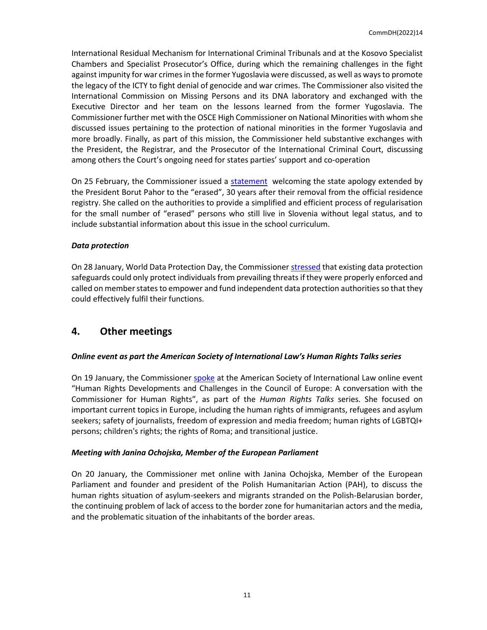International Residual Mechanism for International Criminal Tribunals and at the Kosovo Specialist Chambers and Specialist Prosecutor's Office, during which the remaining challenges in the fight against impunity for war crimes in the former Yugoslavia were discussed, as well as ways to promote the legacy of the ICTY to fight denial of genocide and war crimes. The Commissioner also visited the International Commission on Missing Persons and its DNA laboratory and exchanged with the Executive Director and her team on the lessons learned from the former Yugoslavia. The Commissioner further met with the OSCE High Commissioner on National Minorities with whom she discussed issues pertaining to the protection of national minorities in the former Yugoslavia and more broadly. Finally, as part of this mission, the Commissioner held substantive exchanges with the President, the Registrar, and the Prosecutor of the International Criminal Court, discussing among others the Court's ongoing need for states parties' support and co-operation

On 25 February, the Commissioner issued a [statement](https://www.coe.int/en/web/commissioner/-/slovenia-state-apology-to-the-erased-is-a-welcome-and-meaningful-step) welcoming the state apology extended by the President Borut Pahor to the "erased", 30 years after their removal from the official residence registry. She called on the authorities to provide a simplified and efficient process of regularisation for the small number of "erased" persons who still live in Slovenia without legal status, and to include substantial information about this issue in the school curriculum.

#### *Data protection*

On 28 January, World Data Protection Day, the Commissione[r stressed](https://twitter.com/CommissionerHR/status/1486978284734795776) that existing data protection safeguards could only protect individuals from prevailing threats if they were properly enforced and called on member states to empower and fund independent data protection authorities so that they could effectively fulfil their functions.

### **4. Other meetings**

#### *Online event as part the American Society of International Law's Human Rights Talks series*

On 19 January, the Commissione[r spoke](https://www.youtube.com/watch?v=wKkNzZrcToc) at the American Society of International Law online event "Human Rights Developments and Challenges in the Council of Europe: A conversation with the Commissioner for Human Rights", as part of the *Human Rights Talks* series. She focused on important current topics in Europe, including the human rights of immigrants, refugees and asylum seekers; safety of journalists, freedom of expression and media freedom; human rights of LGBTQI+ persons; children's rights; the rights of Roma; and transitional justice.

#### *Meeting with Janina Ochojska, Member of the European Parliament*

On 20 January, the Commissioner met online with Janina Ochojska, Member of the European Parliament and founder and president of the Polish Humanitarian Action (PAH), to discuss the human rights situation of asylum-seekers and migrants stranded on the Polish-Belarusian border, the continuing problem of lack of access to the border zone for humanitarian actors and the media, and the problematic situation of the inhabitants of the border areas.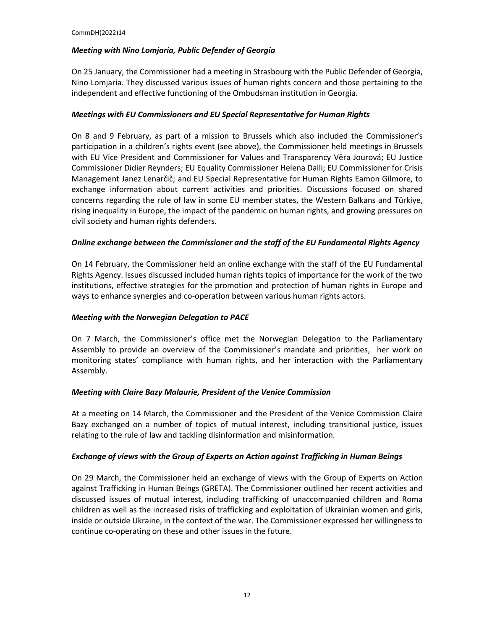#### *Meeting with Nino Lomjaria, Public Defender of Georgia*

On 25 January, the Commissioner had a meeting in Strasbourg with the Public Defender of Georgia, Nino Lomjaria. They discussed various issues of human rights concern and those pertaining to the independent and effective functioning of the Ombudsman institution in Georgia.

#### *Meetings with EU Commissioners and EU Special Representative for Human Rights*

On 8 and 9 February, as part of a mission to Brussels which also included the Commissioner's participation in a children's rights event (see above), the Commissioner held meetings in Brussels with EU Vice President and Commissioner for Values and Transparency Vĕra Jourová; EU Justice Commissioner Didier Reynders; EU Equality Commissioner Helena Dalli; EU Commissioner for Crisis Management Janez Lenarčič; and EU Special Representative for Human Rights Eamon Gilmore, to exchange information about current activities and priorities. Discussions focused on shared concerns regarding the rule of law in some EU member states, the Western Balkans and Türkiye, rising inequality in Europe, the impact of the pandemic on human rights, and growing pressures on civil society and human rights defenders.

#### *Online exchange between the Commissioner and the staff of the EU Fundamental Rights Agency*

On 14 February, the Commissioner held an online exchange with the staff of the EU Fundamental Rights Agency. Issues discussed included human rights topics of importance for the work of the two institutions, effective strategies for the promotion and protection of human rights in Europe and ways to enhance synergies and co-operation between various human rights actors.

#### *Meeting with the Norwegian Delegation to PACE*

On 7 March, the Commissioner's office met the Norwegian Delegation to the Parliamentary Assembly to provide an overview of the Commissioner's mandate and priorities, her work on monitoring states' compliance with human rights, and her interaction with the Parliamentary Assembly.

#### *Meeting with Claire Bazy Malaurie, President of the Venice Commission*

At a meeting on 14 March, the Commissioner and the President of the Venice Commission Claire Bazy exchanged on a number of topics of mutual interest, including transitional justice, issues relating to the rule of law and tackling disinformation and misinformation.

#### *Exchange of views with the Group of Experts on Action against Trafficking in Human Beings*

On 29 March, the Commissioner held an exchange of views with the Group of Experts on Action against Trafficking in Human Beings (GRETA). The Commissioner outlined her recent activities and discussed issues of mutual interest, including trafficking of unaccompanied children and Roma children as well as the increased risks of trafficking and exploitation of Ukrainian women and girls, inside or outside Ukraine, in the context of the war. The Commissioner expressed her willingness to continue co-operating on these and other issues in the future.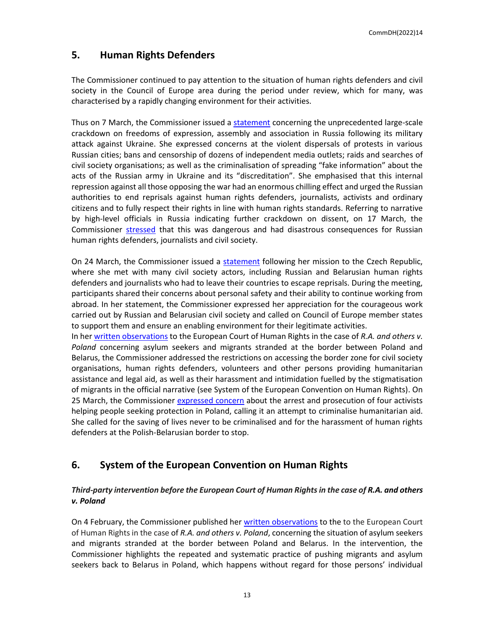## **5. Human Rights Defenders**

The Commissioner continued to pay attention to the situation of human rights defenders and civil society in the Council of Europe area during the period under review, which for many, was characterised by a rapidly changing environment for their activities.

Thus on 7 March, the Commissioner issued [a statement](https://www.coe.int/en/web/commissioner/-/russian-authorities-should-stop-the-unprecedented-crackdown-on-freedoms-of-expression-assembly-and-association-in-the-country) concerning the unprecedented large-scale crackdown on freedoms of expression, assembly and association in Russia following its military attack against Ukraine. She expressed concerns at the violent dispersals of protests in various Russian cities; bans and censorship of dozens of independent media outlets; raids and searches of civil society organisations; as well as the criminalisation of spreading "fake information" about the acts of the Russian army in Ukraine and its "discreditation". She emphasised that this internal repression against all those opposing the war had an enormous chilling effect and urged the Russian authorities to end reprisals against human rights defenders, journalists, activists and ordinary citizens and to fully respect their rights in line with human rights standards. Referring to narrative by high-level officials in Russia indicating further crackdown on dissent, on 17 March, the Commissioner [stressed](https://twitter.com/CommissionerHR/status/1504440345609883652?t=R4umrbZgzCpvOc9VYwPA5w&s=03) that this was dangerous and had disastrous consequences for Russian human rights defenders, journalists and civil society.

On 24 March, the Commissioner issued a [statement](https://www.coe.int/en/web/commissioner/-/russian-civil-society-needs-support-of-council-of-europe-member-states) following her mission to the Czech Republic, where she met with many civil society actors, including Russian and Belarusian human rights defenders and journalists who had to leave their countries to escape reprisals. During the meeting, participants shared their concerns about personal safety and their ability to continue working from abroad. In her statement, the Commissioner expressed her appreciation for the courageous work carried out by Russian and Belarusian civil society and called on Council of Europe member states to support them and ensure an enabling environment for their legitimate activities.

In her [written observations](https://www.coe.int/en/web/commissioner/-/commissioner-intervenes-before-the-european-court-of-human-rights-in-a-case-concerning-the-situation-of-asylum-seekers-and-migrants-stranded-at-the-bo) to the European Court of Human Rights in the case of *R.A. and others v. Poland* concerning asylum seekers and migrants stranded at the border between Poland and Belarus, the Commissioner addressed the restrictions on accessing the border zone for civil society organisations, human rights defenders, volunteers and other persons providing humanitarian assistance and legal aid, as well as their harassment and intimidation fuelled by the stigmatisation of migrants in the official narrative (see System of the European Convention on Human Rights). On 25 March, the Commissioner [expressed](https://twitter.com/CommissionerHR/status/1507391945991151616?t=ivIsrsJ0XITVauH25Y3vqg&s=03) concern about the arrest and prosecution of four activists helping people seeking protection in Poland, calling it an attempt to criminalise humanitarian aid. She called for the saving of lives never to be criminalised and for the harassment of human rights defenders at the Polish-Belarusian border to stop.

# **6. System of the European Convention on Human Rights**

#### *Third-party intervention before the European Court of Human Rightsin the case of R.A. and others v. Poland*

On 4 February, the Commissioner published her [written observations](https://www.coe.int/en/web/commissioner/-/commissioner-intervenes-before-the-european-court-of-human-rights-in-a-case-concerning-the-situation-of-asylum-seekers-and-migrants-stranded-at-the-bo) to the to the European Court of Human Rights in the case of *R.A. and others v. Poland*, concerning the situation of asylum seekers and migrants stranded at the border between Poland and Belarus. In the intervention, the Commissioner highlights the repeated and systematic practice of pushing migrants and asylum seekers back to Belarus in Poland, which happens without regard for those persons' individual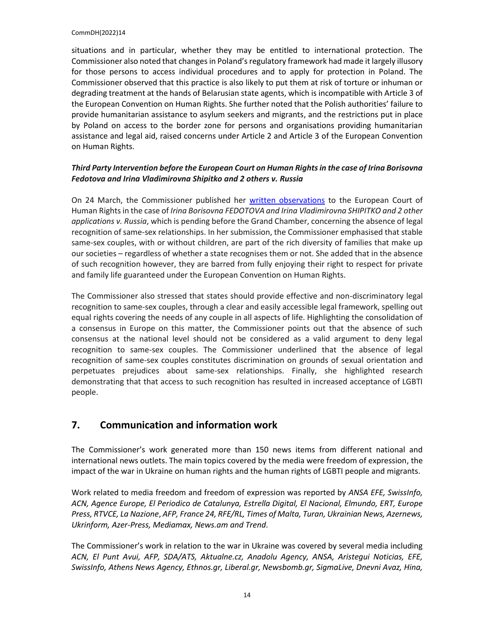situations and in particular, whether they may be entitled to international protection. The Commissioner also noted that changes in Poland's regulatory framework had made it largely illusory for those persons to access individual procedures and to apply for protection in Poland. The Commissioner observed that this practice is also likely to put them at risk of torture or inhuman or degrading treatment at the hands of Belarusian state agents, which is incompatible with Article 3 of the European Convention on Human Rights. She further noted that the Polish authorities' failure to provide humanitarian assistance to asylum seekers and migrants, and the restrictions put in place by Poland on access to the border zone for persons and organisations providing humanitarian assistance and legal aid, raised concerns under Article 2 and Article 3 of the European Convention on Human Rights.

#### *Third Party Intervention before the European Court on Human Rights in the case of Irina Borisovna Fedotova and Irina Vladimirovna Shipitko and 2 others v. Russia*

On 24 March, the Commissioner published her [written observations](https://www.coe.int/en/web/commissioner/-/commissioner-publishes-observations-on-the-absence-of-legal-recognition-of-same-sex-relationships-in-russia) to the European Court of Human Rights in the case of *Irina Borisovna FEDOTOVA and Irina Vladimirovna SHIPITKO and 2 other applications v. Russia*, which is pending before the Grand Chamber, concerning the absence of legal recognition of same-sex relationships. In her submission, the Commissioner emphasised that stable same-sex couples, with or without children, are part of the rich diversity of families that make up our societies – regardless of whether a state recognises them or not. She added that in the absence of such recognition however, they are barred from fully enjoying their right to respect for private and family life guaranteed under the European Convention on Human Rights.

The Commissioner also stressed that states should provide effective and non-discriminatory legal recognition to same-sex couples, through a clear and easily accessible legal framework, spelling out equal rights covering the needs of any couple in all aspects of life. Highlighting the consolidation of a consensus in Europe on this matter, the Commissioner points out that the absence of such consensus at the national level should not be considered as a valid argument to deny legal recognition to same-sex couples. The Commissioner underlined that the absence of legal recognition of same-sex couples constitutes discrimination on grounds of sexual orientation and perpetuates prejudices about same-sex relationships. Finally, she highlighted research demonstrating that that access to such recognition has resulted in increased acceptance of LGBTI people.

# **7. Communication and information work**

The Commissioner's work generated more than 150 news items from different national and international news outlets. The main topics covered by the media were freedom of expression, the impact of the war in Ukraine on human rights and the human rights of LGBTI people and migrants.

Work related to media freedom and freedom of expression was reported by *ANSA EFE, SwissInfo, ACN, Agence Europe, El Periodico de Catalunya, Estrella Digital, El Nacional, Elmundo, ERT, Europe Press, RTVCE, La Nazione*, *AFP, France 24, RFE/RL, Times of Malta, Turan, Ukrainian News, Azernews, Ukrinform, Azer-Press, Mediamax, News.am and Trend*.

The Commissioner's work in relation to the war in Ukraine was covered by several media including *ACN, El Punt Avui, AFP, SDA/ATS, Aktualne.cz, Anadolu Agency, ANSA, Aristegui Noticias, EFE, SwissInfo, Athens News Agency, Ethnos.gr, Liberal.gr, Newsbomb.gr, SigmaLive, Dnevni Avaz, Hina,*